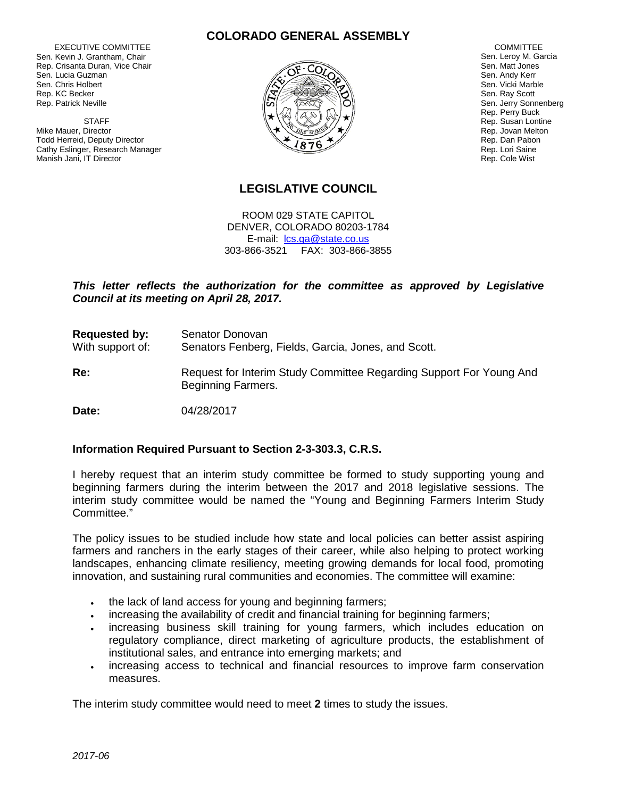EXECUTIVE COMMITTEE Sen. Kevin J. Grantham, Chair Rep. Crisanta Duran, Vice Chair Sen. Lucia Guzman Sen. Chris Holbert Rep. KC Becker Rep. Patrick Neville

 STAFF Mike Mauer, Director Todd Herreid, Deputy Director Cathy Eslinger, Research Manager Manish Jani, IT Director

### **COLORADO GENERAL ASSEMBLY**



 COMMITTEE Sen. Leroy M. Garcia Sen. Matt Jones Sen. Andy Kerr Sen. Vicki Marble Sen. Ray Scott Sen. Jerry Sonnenberg Rep. Perry Buck Rep. Susan Lontine Rep. Jovan Melton Rep. Dan Pabon Rep. Lori Saine Rep. Cole Wist

# **LEGISLATIVE COUNCIL**

ROOM 029 STATE CAPITOL DENVER, COLORADO 80203-1784 E-mail: [lcs.ga@state.co.us](mailto:lcs.ga@state.co.us) 303-866-3521 FAX: 303-866-3855

## *This letter reflects the authorization for the committee as approved by Legislative Council at its meeting on April 28, 2017.*

**Requested by:** Senator Donovan With support of: Senators Fenberg, Fields, Garcia, Jones, and Scott. **Re:** Request for Interim Study Committee Regarding Support For Young And

**Date:** 04/28/2017

### **Information Required Pursuant to Section 2-3-303.3, C.R.S.**

Beginning Farmers.

I hereby request that an interim study committee be formed to study supporting young and beginning farmers during the interim between the 2017 and 2018 legislative sessions. The interim study committee would be named the "Young and Beginning Farmers Interim Study Committee."

The policy issues to be studied include how state and local policies can better assist aspiring farmers and ranchers in the early stages of their career, while also helping to protect working landscapes, enhancing climate resiliency, meeting growing demands for local food, promoting innovation, and sustaining rural communities and economies. The committee will examine:

- the lack of land access for young and beginning farmers;
- increasing the availability of credit and financial training for beginning farmers;
- increasing business skill training for young farmers, which includes education on regulatory compliance, direct marketing of agriculture products, the establishment of institutional sales, and entrance into emerging markets; and
- increasing access to technical and financial resources to improve farm conservation measures.

The interim study committee would need to meet **2** times to study the issues.